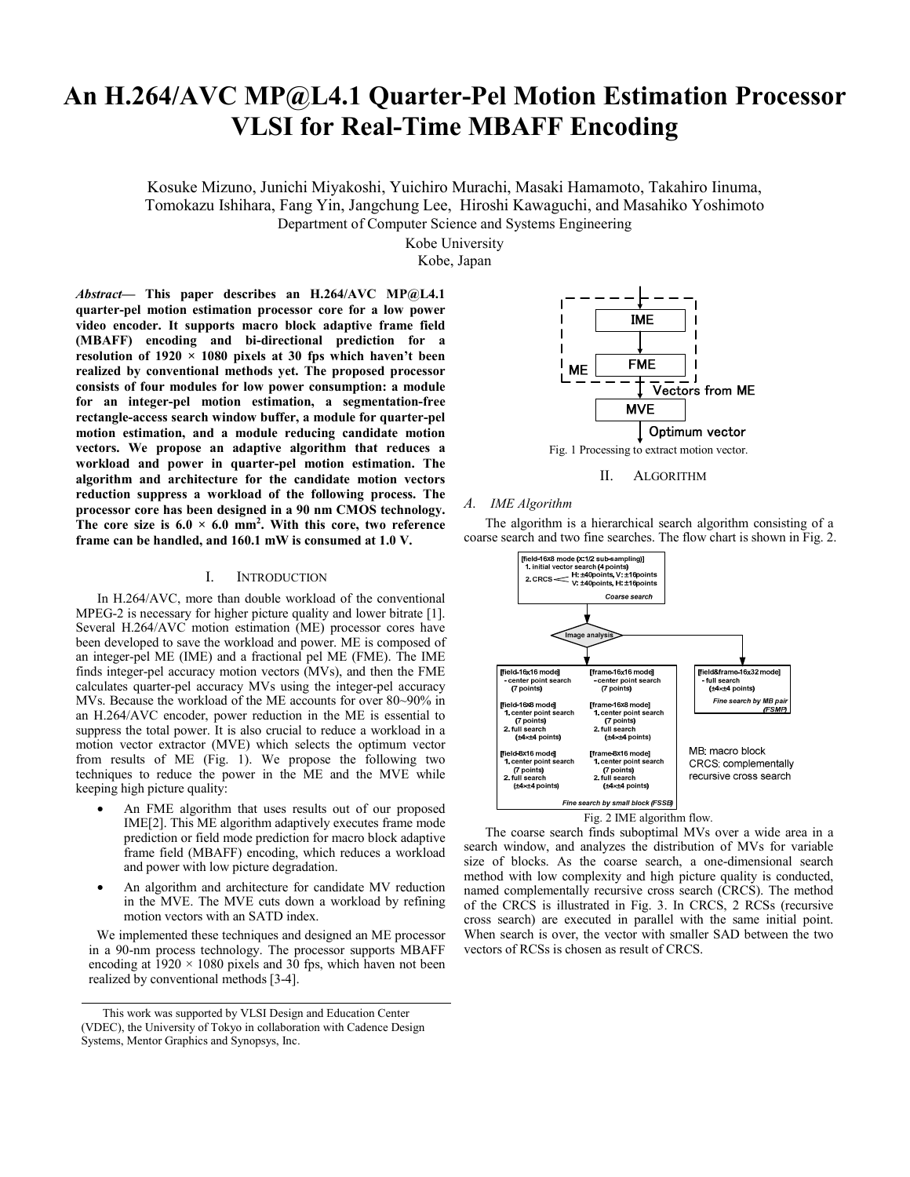# **An H.264/AVC MP@L4.1 Quarter-Pel Motion Estimation Processor VLSI for Real-Time MBAFF Encoding**

Kosuke Mizuno, Junichi Miyakoshi, Yuichiro Murachi, Masaki Hamamoto, Takahiro Iinuma, Tomokazu Ishihara, Fang Yin, Jangchung Lee, Hiroshi Kawaguchi, and Masahiko Yoshimoto Department of Computer Science and Systems Engineering

Kobe University

Kobe, Japan

*Abstract***— This paper describes an H.264/AVC MP@L4.1 quarter-pel motion estimation processor core for a low power video encoder. It supports macro block adaptive frame field (MBAFF) encoding and bi-directional prediction for a resolution of 1920 × 1080 pixels at 30 fps which haven't been realized by conventional methods yet. The proposed processor consists of four modules for low power consumption: a module for an integer-pel motion estimation, a segmentation-free rectangle-access search window buffer, a module for quarter-pel motion estimation, and a module reducing candidate motion vectors. We propose an adaptive algorithm that reduces a workload and power in quarter-pel motion estimation. The algorithm and architecture for the candidate motion vectors reduction suppress a workload of the following process. The processor core has been designed in a 90 nm CMOS technology.**  The core size is  $6.0 \times 6.0$  mm<sup>2</sup>. With this core, two reference **frame can be handled, and 160.1 mW is consumed at 1.0 V.** 

#### I. INTRODUCTION

In H.264/AVC, more than double workload of the conventional MPEG-2 is necessary for higher picture quality and lower bitrate [1]. Several H.264/AVC motion estimation (ME) processor cores have been developed to save the workload and power. ME is composed of an integer-pel ME (IME) and a fractional pel ME (FME). The IME finds integer-pel accuracy motion vectors (MVs), and then the FME calculates quarter-pel accuracy MVs using the integer-pel accuracy MVs. Because the workload of the ME accounts for over 80~90% in an H.264/AVC encoder, power reduction in the ME is essential to suppress the total power. It is also crucial to reduce a workload in a motion vector extractor (MVE) which selects the optimum vector from results of ME (Fig. 1). We propose the following two techniques to reduce the power in the ME and the MVE while keeping high picture quality:

- An FME algorithm that uses results out of our proposed IME[2]. This ME algorithm adaptively executes frame mode prediction or field mode prediction for macro block adaptive frame field (MBAFF) encoding, which reduces a workload and power with low picture degradation.
- An algorithm and architecture for candidate MV reduction in the MVE. The MVE cuts down a workload by refining motion vectors with an SATD index.

We implemented these techniques and designed an ME processor in a 90-nm process technology. The processor supports MBAFF encoding at  $1920 \times 1080$  pixels and  $30$  fps, which haven not been realized by conventional methods [3-4].



II. ALGORITHM

## *A. IME Algorithm*

The algorithm is a hierarchical search algorithm consisting of a coarse search and two fine searches. The flow chart is shown in Fig. 2.





The coarse search finds suboptimal MVs over a wide area in a search window, and analyzes the distribution of MVs for variable size of blocks. As the coarse search, a one-dimensional search method with low complexity and high picture quality is conducted, named complementally recursive cross search (CRCS). The method of the CRCS is illustrated in Fig. 3. In CRCS, 2 RCSs (recursive cross search) are executed in parallel with the same initial point. When search is over, the vector with smaller SAD between the two vectors of RCSs is chosen as result of CRCS.

This work was supported by VLSI Design and Education Center (VDEC), the University of Tokyo in collaboration with Cadence Design Systems, Mentor Graphics and Synopsys, Inc.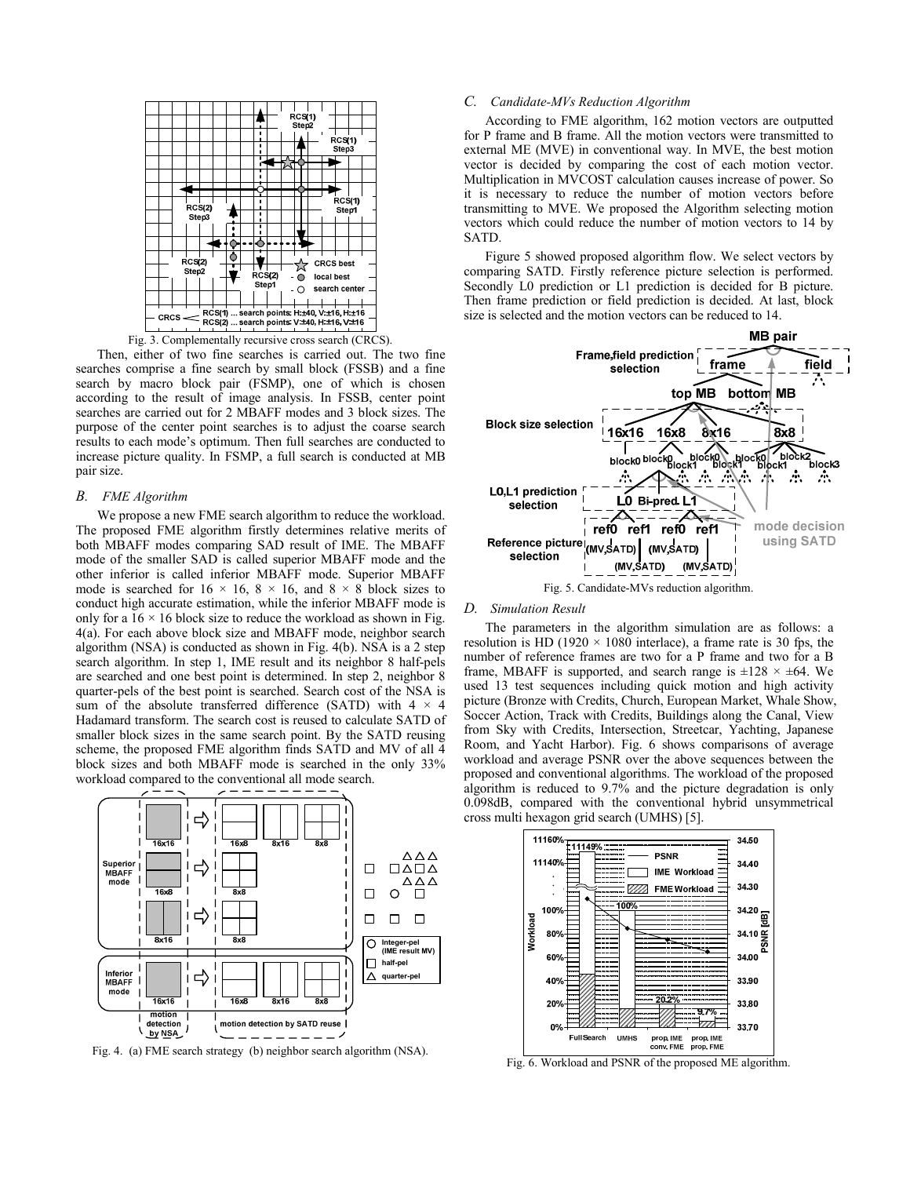

Fig. 3. Complementally recursive cross search (CRCS).

Then, either of two fine searches is carried out. The two fine searches comprise a fine search by small block (FSSB) and a fine search by macro block pair (FSMP), one of which is chosen according to the result of image analysis. In FSSB, center point searches are carried out for 2 MBAFF modes and 3 block sizes. The purpose of the center point searches is to adjust the coarse search results to each mode's optimum. Then full searches are conducted to increase picture quality. In FSMP, a full search is conducted at MB pair size.

### *B. FME Algorithm*

We propose a new FME search algorithm to reduce the workload. The proposed FME algorithm firstly determines relative merits of both MBAFF modes comparing SAD result of IME. The MBAFF mode of the smaller SAD is called superior MBAFF mode and the other inferior is called inferior MBAFF mode. Superior MBAFF mode is searched for  $16 \times 16$ ,  $8 \times 16$ , and  $8 \times 8$  block sizes to conduct high accurate estimation, while the inferior MBAFF mode is only for a  $16 \times 16$  block size to reduce the workload as shown in Fig. 4(a). For each above block size and MBAFF mode, neighbor search algorithm (NSA) is conducted as shown in Fig. 4(b). NSA is a 2 step search algorithm. In step 1, IME result and its neighbor 8 half-pels are searched and one best point is determined. In step 2, neighbor 8 quarter-pels of the best point is searched. Search cost of the NSA is sum of the absolute transferred difference (SATD) with  $4 \times 4$ Hadamard transform. The search cost is reused to calculate SATD of smaller block sizes in the same search point. By the SATD reusing scheme, the proposed FME algorithm finds SATD and MV of all 4 block sizes and both MBAFF mode is searched in the only 33% workload compared to the conventional all mode search.



Fig. 4. (a) FME search strategy (b) neighbor search algorithm (NSA).

## *C. Candidate-MVs Reduction Algorithm*

According to FME algorithm, 162 motion vectors are outputted for P frame and B frame. All the motion vectors were transmitted to external ME (MVE) in conventional way. In MVE, the best motion vector is decided by comparing the cost of each motion vector. Multiplication in MVCOST calculation causes increase of power. So it is necessary to reduce the number of motion vectors before transmitting to MVE. We proposed the Algorithm selecting motion vectors which could reduce the number of motion vectors to 14 by SATD.

Figure 5 showed proposed algorithm flow. We select vectors by comparing SATD. Firstly reference picture selection is performed. Secondly L0 prediction or L1 prediction is decided for B picture. Then frame prediction or field prediction is decided. At last, block size is selected and the motion vectors can be reduced to 14.



#### *D. Simulation Result*

The parameters in the algorithm simulation are as follows: a resolution is HD (1920  $\times$  1080 interlace), a frame rate is 30 fps, the number of reference frames are two for a P frame and two for a B frame, MBAFF is supported, and search range is  $\pm 128 \times \pm 64$ . We used 13 test sequences including quick motion and high activity picture (Bronze with Credits, Church, European Market, Whale Show, Soccer Action, Track with Credits, Buildings along the Canal, View from Sky with Credits, Intersection, Streetcar, Yachting, Japanese Room, and Yacht Harbor). Fig. 6 shows comparisons of average workload and average PSNR over the above sequences between the proposed and conventional algorithms. The workload of the proposed algorithm is reduced to 9.7% and the picture degradation is only 0.098dB, compared with the conventional hybrid unsymmetrical cross multi hexagon grid search (UMHS) [5].



Fig. 6. Workload and PSNR of the proposed ME algorithm.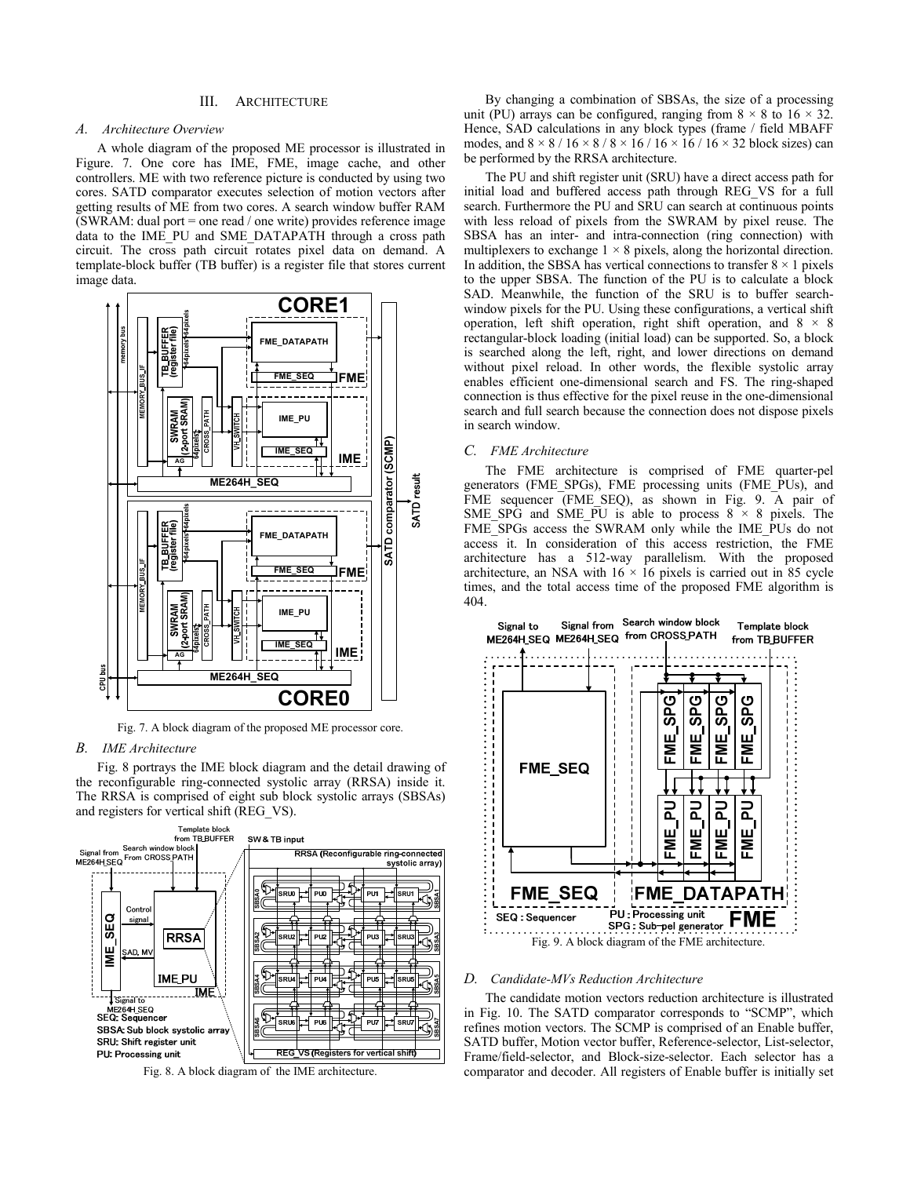#### III. ARCHITECTURE

## *A. Architecture Overview*

A whole diagram of the proposed ME processor is illustrated in Figure. 7. One core has IME, FME, image cache, and other controllers. ME with two reference picture is conducted by using two cores. SATD comparator executes selection of motion vectors after getting results of ME from two cores. A search window buffer RAM (SWRAM: dual port = one read / one write) provides reference image data to the IME\_PU and SME\_DATAPATH through a cross path circuit. The cross path circuit rotates pixel data on demand. A template-block buffer (TB buffer) is a register file that stores current image data.



Fig. 7. A block diagram of the proposed ME processor core.

#### *B. IME Architecture*

Fig. 8 portrays the IME block diagram and the detail drawing of the reconfigurable ring-connected systolic array (RRSA) inside it. The RRSA is comprised of eight sub block systolic arrays (SBSAs) and registers for vertical shift (REG\_VS).



Fig. 8. A block diagram of the IME architecture.

By changing a combination of SBSAs, the size of a processing unit (PU) arrays can be configured, ranging from  $8 \times 8$  to  $16 \times 32$ . Hence, SAD calculations in any block types (frame / field MBAFF modes, and  $8 \times 8 / 16 \times 8 / 8 \times 16 / 16 \times 16 / 16 \times 32$  block sizes) can be performed by the RRSA architecture.

The PU and shift register unit (SRU) have a direct access path for initial load and buffered access path through REG\_VS for a full search. Furthermore the PU and SRU can search at continuous points with less reload of pixels from the SWRAM by pixel reuse. The SBSA has an inter- and intra-connection (ring connection) with multiplexers to exchange  $1 \times 8$  pixels, along the horizontal direction. In addition, the SBSA has vertical connections to transfer  $8 \times 1$  pixels to the upper SBSA. The function of the PU is to calculate a block SAD. Meanwhile, the function of the SRU is to buffer searchwindow pixels for the PU. Using these configurations, a vertical shift operation, left shift operation, right shift operation, and  $8 \times 8$ rectangular-block loading (initial load) can be supported. So, a block is searched along the left, right, and lower directions on demand without pixel reload. In other words, the flexible systolic array enables efficient one-dimensional search and FS. The ring-shaped connection is thus effective for the pixel reuse in the one-dimensional search and full search because the connection does not dispose pixels in search window.

# *C. FME Architecture*

The FME architecture is comprised of FME quarter-pel generators (FME\_SPGs), FME processing units (FME\_PUs), and FME sequencer (FME SEQ), as shown in Fig. 9. A pair of SME\_SPG and SME\_PU is able to process  $8 \times 8$  pixels. The FME\_SPGs access the SWRAM only while the IME\_PUs do not access it. In consideration of this access restriction, the FME architecture has a 512-way parallelism. With the proposed architecture, an NSA with  $16 \times 16$  pixels is carried out in 85 cycle times, and the total access time of the proposed FME algorithm is 404.



## *D. Candidate-MVs Reduction Architecture*

The candidate motion vectors reduction architecture is illustrated in Fig. 10. The SATD comparator corresponds to "SCMP", which refines motion vectors. The SCMP is comprised of an Enable buffer, SATD buffer, Motion vector buffer, Reference-selector, List-selector, Frame/field-selector, and Block-size-selector. Each selector has a comparator and decoder. All registers of Enable buffer is initially set